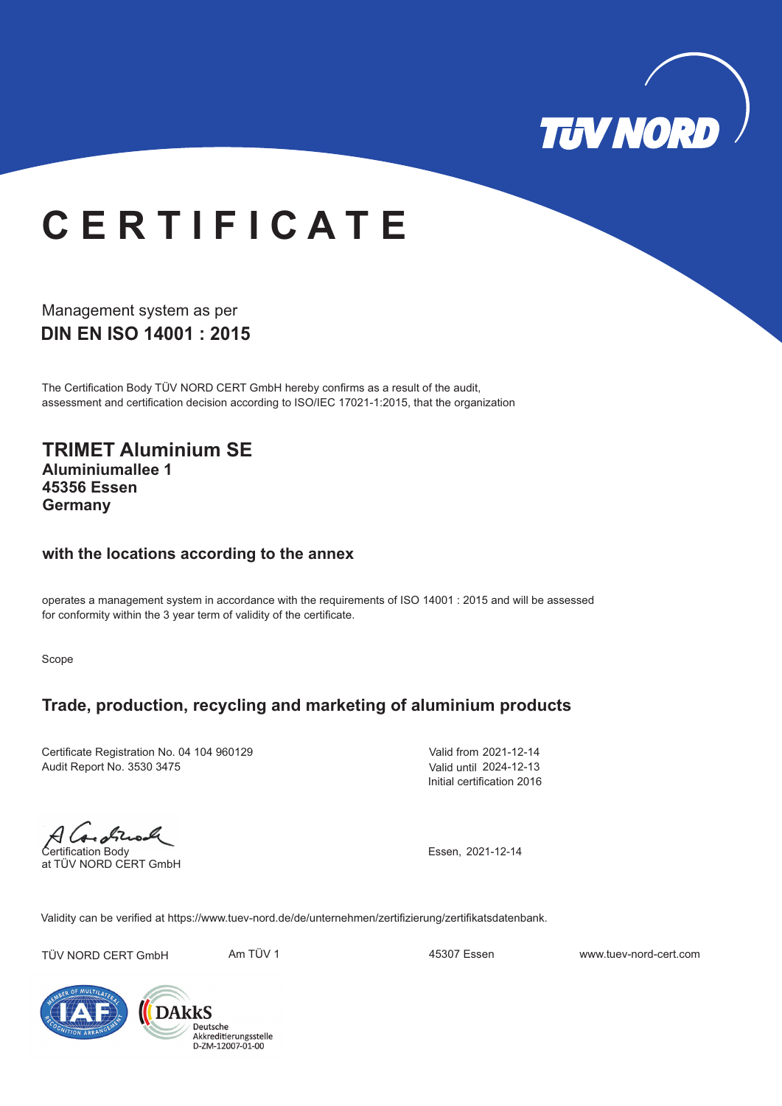

# **C E R T I F I C A T E**

Management system as per **DIN EN ISO 14001 : 2015** 

The Certification Body TÜV NORD CERT GmbH hereby confirms as a result of the audit, assessment and certification decision according to ISO/IEC 17021-1:2015, that the organization

**TRIMET Aluminium SE Aluminiumallee 1 45356 Essen Germany**

#### **with the locations according to the annex**

operates a management system in accordance with the requirements of ISO 14001 : 2015 and will be assessed for conformity within the 3 year term of validity of the certificate.

Scope

#### **Trade, production, recycling and marketing of aluminium products**

Certificate Registration No. 04 104 960129 Audit Report No. 3530 3475

Valid from 2021-12-14 Valid until 2024-12-13 Initial certification 2016

A Canadia

at TÜV NORD CERT GmbH

Essen, 2021-12-14

Validity can be verified at https://www.tuev-nord.de/de/unternehmen/zertifizierung/zertifikatsdatenbank.

TÜV NORD CERT GmbH Am TÜV 1 45307 Essen www.tuev-nord-cert.com